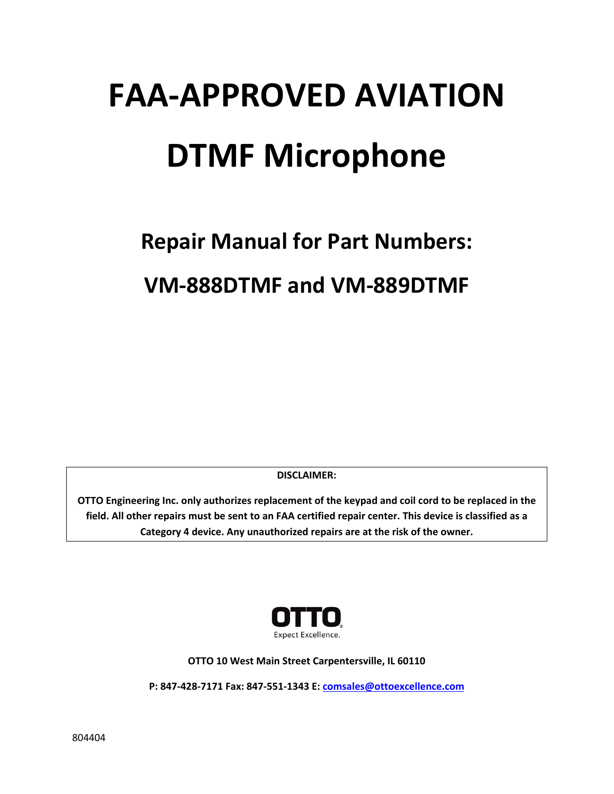# **FAA‐APPROVED AVIATION DTMF Microphone**

## **Repair Manual for Part Numbers: VM‐888DTMF and VM‐889DTMF**

**DISCLAIMER:**

**OTTO Engineering Inc. only authorizes replacement of the keypad and coil cord to be replaced in the** field. All other repairs must be sent to an FAA certified repair center. This device is classified as a **Category 4 device. Any unauthorized repairs are at the risk of the owner.**



**OTTO 10 West Main Street Carpentersville, IL 60110**

**P: 847‐428‐7171 Fax: 847‐551‐1343 E: comsales@ottoexcellence.com**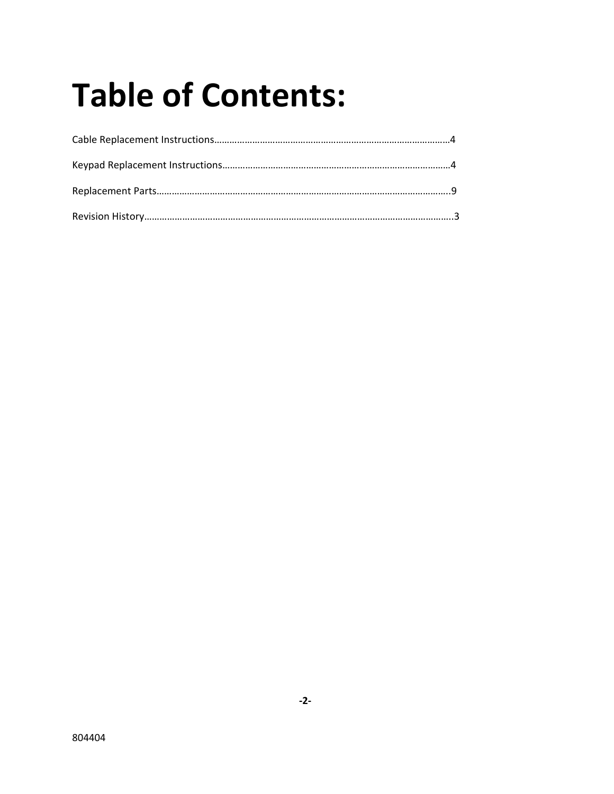## **Table of Contents:**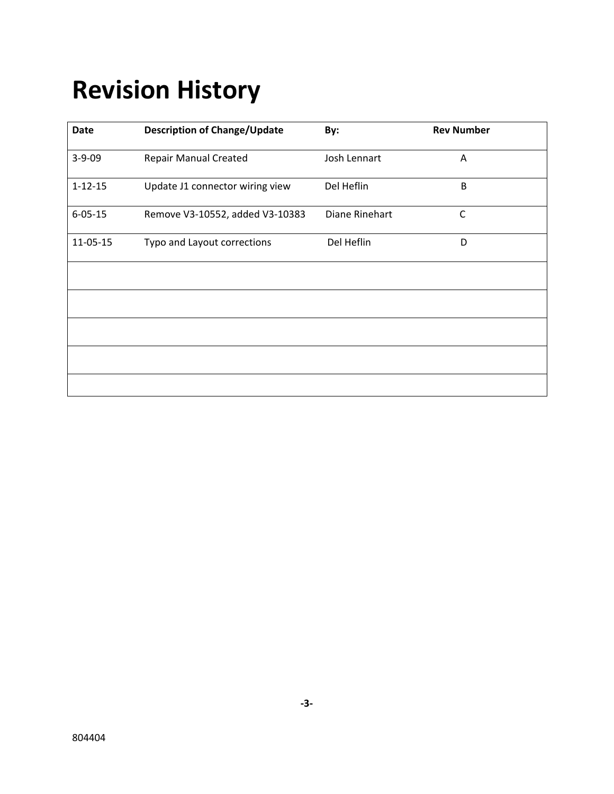## **Revision History**

| <b>Date</b>   | <b>Description of Change/Update</b> | By:            | <b>Rev Number</b> |
|---------------|-------------------------------------|----------------|-------------------|
| $3 - 9 - 09$  | <b>Repair Manual Created</b>        | Josh Lennart   | A                 |
| $1 - 12 - 15$ | Update J1 connector wiring view     | Del Heflin     | B                 |
| $6 - 05 - 15$ | Remove V3-10552, added V3-10383     | Diane Rinehart | $\mathsf{C}$      |
| 11-05-15      | Typo and Layout corrections         | Del Heflin     | D                 |
|               |                                     |                |                   |
|               |                                     |                |                   |
|               |                                     |                |                   |
|               |                                     |                |                   |
|               |                                     |                |                   |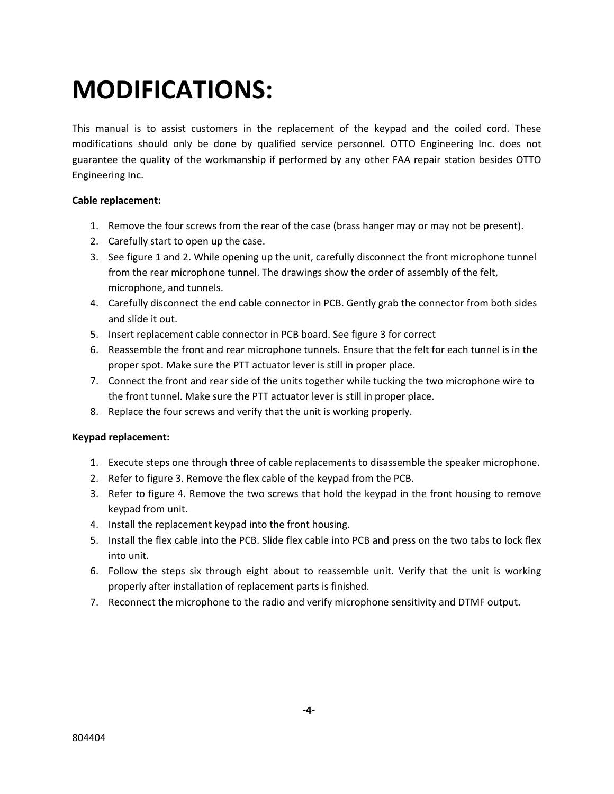### **MODIFICATIONS:**

This manual is to assist customers in the replacement of the keypad and the coiled cord. These modifications should only be done by qualified service personnel. OTTO Engineering Inc. does not guarantee the quality of the workmanship if performed by any other FAA repair station besides OTTO Engineering Inc.

#### **Cable replacement:**

- 1. Remove the four screws from the rear of the case (brass hanger may or may not be present).
- 2. Carefully start to open up the case.
- 3. See figure 1 and 2. While opening up the unit, carefully disconnect the front microphone tunnel from the rear microphone tunnel. The drawings show the order of assembly of the felt, microphone, and tunnels.
- 4. Carefully disconnect the end cable connector in PCB. Gently grab the connector from both sides and slide it out.
- 5. Insert replacement cable connector in PCB board. See figure 3 for correct
- 6. Reassemble the front and rear microphone tunnels. Ensure that the felt for each tunnel is in the proper spot. Make sure the PTT actuator lever is still in proper place.
- 7. Connect the front and rear side of the units together while tucking the two microphone wire to the front tunnel. Make sure the PTT actuator lever is still in proper place.
- 8. Replace the four screws and verify that the unit is working properly.

#### **Keypad replacement:**

- 1. Execute steps one through three of cable replacements to disassemble the speaker microphone.
- 2. Refer to figure 3. Remove the flex cable of the keypad from the PCB.
- 3. Refer to figure 4. Remove the two screws that hold the keypad in the front housing to remove keypad from unit.
- 4. Install the replacement keypad into the front housing.
- 5. Install the flex cable into the PCB. Slide flex cable into PCB and press on the two tabs to lock flex into unit.
- 6. Follow the steps six through eight about to reassemble unit. Verify that the unit is working properly after installation of replacement parts is finished.
- 7. Reconnect the microphone to the radio and verify microphone sensitivity and DTMF output.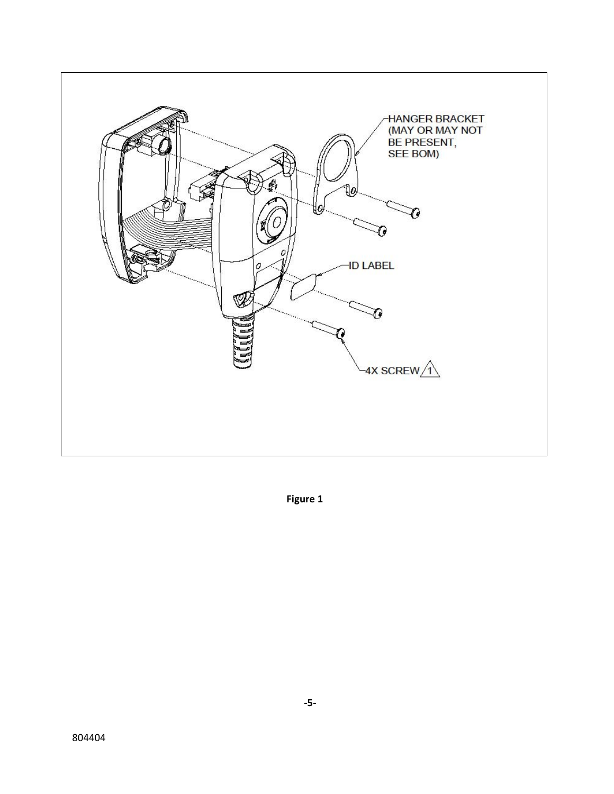

Figure 1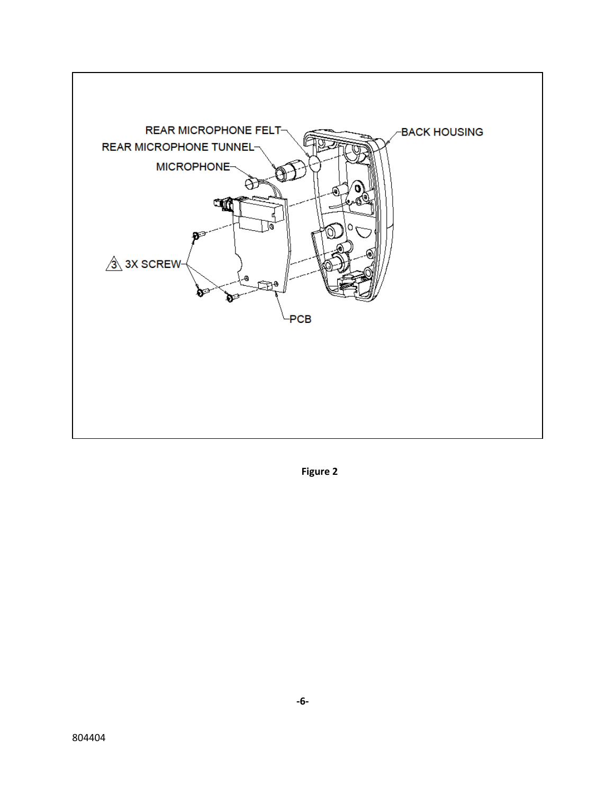

Figure 2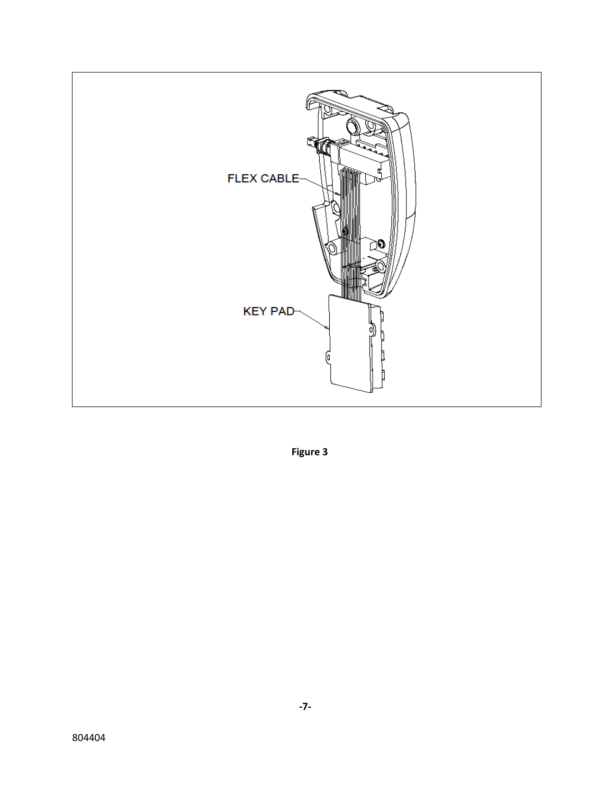

Figure 3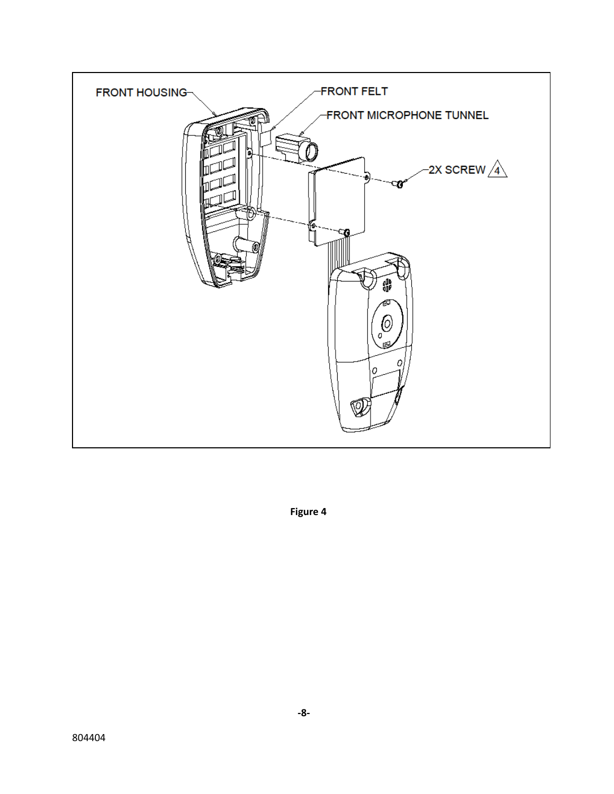

Figure 4